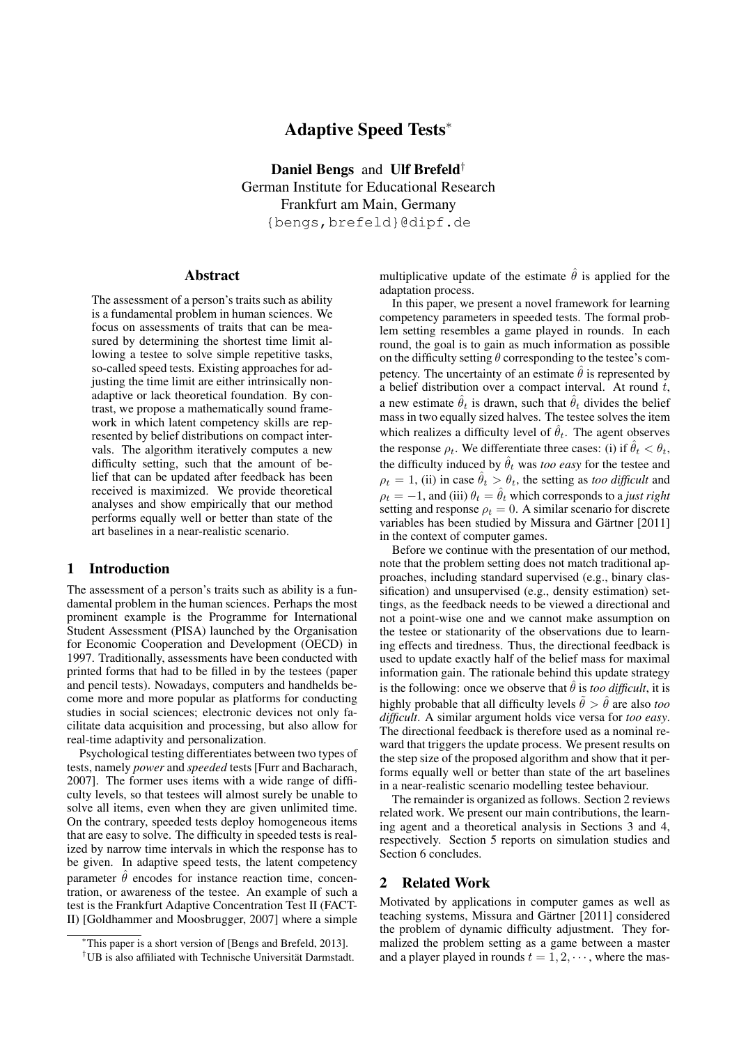# Adaptive Speed Tests<sup>∗</sup>

Daniel Bengs and Ulf Brefeld† German Institute for Educational Research Frankfurt am Main, Germany {bengs,brefeld}@dipf.de

### Abstract

The assessment of a person's traits such as ability is a fundamental problem in human sciences. We focus on assessments of traits that can be measured by determining the shortest time limit allowing a testee to solve simple repetitive tasks, so-called speed tests. Existing approaches for adjusting the time limit are either intrinsically nonadaptive or lack theoretical foundation. By contrast, we propose a mathematically sound framework in which latent competency skills are represented by belief distributions on compact intervals. The algorithm iteratively computes a new difficulty setting, such that the amount of belief that can be updated after feedback has been received is maximized. We provide theoretical analyses and show empirically that our method performs equally well or better than state of the art baselines in a near-realistic scenario.

### 1 Introduction

The assessment of a person's traits such as ability is a fundamental problem in the human sciences. Perhaps the most prominent example is the Programme for International Student Assessment (PISA) launched by the Organisation for Economic Cooperation and Development (OECD) in 1997. Traditionally, assessments have been conducted with printed forms that had to be filled in by the testees (paper and pencil tests). Nowadays, computers and handhelds become more and more popular as platforms for conducting studies in social sciences; electronic devices not only facilitate data acquisition and processing, but also allow for real-time adaptivity and personalization.

Psychological testing differentiates between two types of tests, namely *power* and *speeded* tests [Furr and Bacharach, 2007]. The former uses items with a wide range of difficulty levels, so that testees will almost surely be unable to solve all items, even when they are given unlimited time. On the contrary, speeded tests deploy homogeneous items that are easy to solve. The difficulty in speeded tests is realized by narrow time intervals in which the response has to be given. In adaptive speed tests, the latent competency parameter  $\hat{\theta}$  encodes for instance reaction time, concentration, or awareness of the testee. An example of such a test is the Frankfurt Adaptive Concentration Test II (FACT-II) [Goldhammer and Moosbrugger, 2007] where a simple

multiplicative update of the estimate  $\hat{\theta}$  is applied for the adaptation process.

In this paper, we present a novel framework for learning competency parameters in speeded tests. The formal problem setting resembles a game played in rounds. In each round, the goal is to gain as much information as possible on the difficulty setting  $\theta$  corresponding to the testee's competency. The uncertainty of an estimate  $\hat{\theta}$  is represented by a belief distribution over a compact interval. At round  $t$ , a new estimate  $\hat{\theta}_t$  is drawn, such that  $\hat{\theta}_t$  divides the belief mass in two equally sized halves. The testee solves the item which realizes a difficulty level of  $\hat{\theta}_t$ . The agent observes the response  $\rho_t$ . We differentiate three cases: (i) if  $\hat{\theta}_t < \theta_t$ , the difficulty induced by  $\hat{\theta}_t$  was *too easy* for the testee and  $\rho_t = 1$ , (ii) in case  $\hat{\theta}_t > \theta_t$ , the setting as *too difficult* and  $\rho_t = -1$ , and (iii)  $\theta_t = \hat{\theta}_t$  which corresponds to a *just right* setting and response  $\rho_t = 0$ . A similar scenario for discrete variables has been studied by Missura and Gärtner [2011] in the context of computer games.

Before we continue with the presentation of our method, note that the problem setting does not match traditional approaches, including standard supervised (e.g., binary classification) and unsupervised (e.g., density estimation) settings, as the feedback needs to be viewed a directional and not a point-wise one and we cannot make assumption on the testee or stationarity of the observations due to learning effects and tiredness. Thus, the directional feedback is used to update exactly half of the belief mass for maximal information gain. The rationale behind this update strategy is the following: once we observe that  $\hat{\theta}$  is *too difficult*, it is highly probable that all difficulty levels  $\tilde{\theta} > \hat{\theta}$  are also *too difficult*. A similar argument holds vice versa for *too easy*. The directional feedback is therefore used as a nominal reward that triggers the update process. We present results on the step size of the proposed algorithm and show that it performs equally well or better than state of the art baselines in a near-realistic scenario modelling testee behaviour.

The remainder is organized as follows. Section 2 reviews related work. We present our main contributions, the learning agent and a theoretical analysis in Sections 3 and 4, respectively. Section 5 reports on simulation studies and Section 6 concludes.

## 2 Related Work

Motivated by applications in computer games as well as teaching systems, Missura and Gärtner [2011] considered the problem of dynamic difficulty adjustment. They formalized the problem setting as a game between a master and a player played in rounds  $t = 1, 2, \dots$ , where the mas-

<sup>∗</sup>This paper is a short version of [Bengs and Brefeld, 2013].

<sup>†</sup>UB is also affiliated with Technische Universität Darmstadt.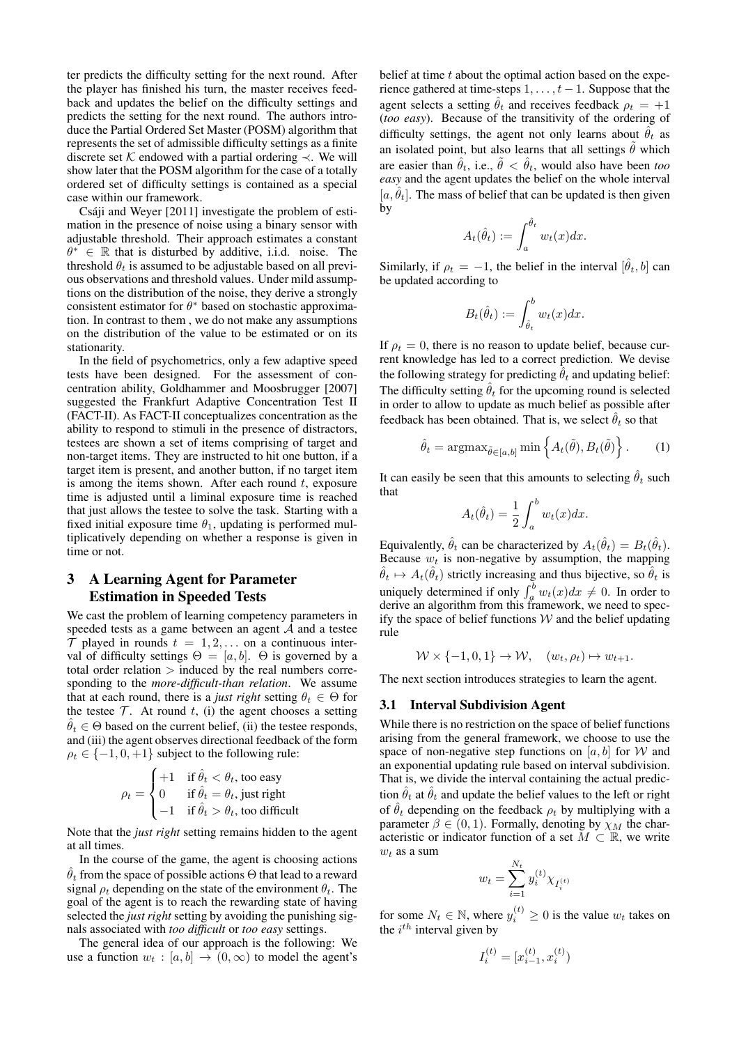ter predicts the difficulty setting for the next round. After the player has finished his turn, the master receives feedback and updates the belief on the difficulty settings and predicts the setting for the next round. The authors introduce the Partial Ordered Set Master (POSM) algorithm that represents the set of admissible difficulty settings as a finite discrete set K endowed with a partial ordering  $\prec$ . We will show later that the POSM algorithm for the case of a totally ordered set of difficulty settings is contained as a special case within our framework.

Csáji and Weyer [2011] investigate the problem of estimation in the presence of noise using a binary sensor with adjustable threshold. Their approach estimates a constant  $\theta^* \in \mathbb{R}$  that is disturbed by additive, i.i.d. noise. The threshold  $\theta_t$  is assumed to be adjustable based on all previous observations and threshold values. Under mild assumptions on the distribution of the noise, they derive a strongly consistent estimator for  $\theta^*$  based on stochastic approximation. In contrast to them , we do not make any assumptions on the distribution of the value to be estimated or on its stationarity.

In the field of psychometrics, only a few adaptive speed tests have been designed. For the assessment of concentration ability, Goldhammer and Moosbrugger [2007] suggested the Frankfurt Adaptive Concentration Test II (FACT-II). As FACT-II conceptualizes concentration as the ability to respond to stimuli in the presence of distractors, testees are shown a set of items comprising of target and non-target items. They are instructed to hit one button, if a target item is present, and another button, if no target item is among the items shown. After each round  $t$ , exposure time is adjusted until a liminal exposure time is reached that just allows the testee to solve the task. Starting with a fixed initial exposure time  $\theta_1$ , updating is performed multiplicatively depending on whether a response is given in time or not.

## 3 A Learning Agent for Parameter Estimation in Speeded Tests

We cast the problem of learning competency parameters in speeded tests as a game between an agent  $A$  and a testee  $\mathcal T$  played in rounds  $t = 1, 2, \ldots$  on a continuous interval of difficulty settings  $\Theta = [a, b]$ .  $\Theta$  is governed by a total order relation  $>$  induced by the real numbers corresponding to the *more-difficult-than relation*. We assume that at each round, there is a *just right* setting  $\theta_t \in \Theta$  for the testee  $T$ . At round  $t$ , (i) the agent chooses a setting  $\hat{\theta}_t \in \Theta$  based on the current belief, (ii) the testee responds, and (iii) the agent observes directional feedback of the form  $\rho_t \in \{-1, 0, +1\}$  subject to the following rule:

$$
\rho_t = \begin{cases}\n+1 & \text{if } \hat{\theta}_t < \theta_t \text{, too easy} \\
0 & \text{if } \hat{\theta}_t = \theta_t \text{, just right} \\
-1 & \text{if } \hat{\theta}_t > \theta_t \text{, too difficult}\n\end{cases}
$$

Note that the *just right* setting remains hidden to the agent at all times.

In the course of the game, the agent is choosing actions  $\hat{\theta}_t$  from the space of possible actions  $\Theta$  that lead to a reward signal  $\rho_t$  depending on the state of the environment  $\theta_t$ . The goal of the agent is to reach the rewarding state of having selected the *just right* setting by avoiding the punishing signals associated with *too difficult* or *too easy* settings.

The general idea of our approach is the following: We use a function  $w_t : [a, b] \rightarrow (0, \infty)$  to model the agent's belief at time  $t$  about the optimal action based on the experience gathered at time-steps  $1, \ldots, t-1$ . Suppose that the agent selects a setting  $\hat{\theta}_t$  and receives feedback  $\rho_t = +1$ (*too easy*). Because of the transitivity of the ordering of difficulty settings, the agent not only learns about  $\hat{\theta}_t$  as an isolated point, but also learns that all settings  $\hat{\theta}$  which are easier than  $\hat{\theta}_t$ , i.e.,  $\tilde{\theta} < \hat{\theta}_t$ , would also have been *too easy* and the agent updates the belief on the whole interval [a,  $\hat{\theta}_t$ ]. The mass of belief that can be updated is then given by

$$
A_t(\hat{\theta}_t) := \int_a^{\hat{\theta}_t} w_t(x) dx.
$$

Similarly, if  $\rho_t = -1$ , the belief in the interval  $[\hat{\theta}_t, b]$  can be updated according to

$$
B_t(\hat{\theta}_t) := \int_{\hat{\theta}_t}^b w_t(x) dx.
$$

If  $\rho_t = 0$ , there is no reason to update belief, because current knowledge has led to a correct prediction. We devise the following strategy for predicting  $\ddot{\theta}_t$  and updating belief: The difficulty setting  $\hat{\theta}_t$  for the upcoming round is selected in order to allow to update as much belief as possible after feedback has been obtained. That is, we select  $\hat{\theta}_t$  so that

$$
\hat{\theta}_t = \operatorname{argmax}_{\tilde{\theta} \in [a, b]} \min \left\{ A_t(\tilde{\theta}), B_t(\tilde{\theta}) \right\}.
$$
 (1)

It can easily be seen that this amounts to selecting  $\hat{\theta}_t$  such that

$$
A_t(\hat{\theta}_t) = \frac{1}{2} \int_a^b w_t(x) dx.
$$

Equivalently,  $\hat{\theta}_t$  can be characterized by  $A_t(\hat{\theta}_t) = B_t(\hat{\theta}_t)$ . Because  $w_t$  is non-negative by assumption, the mapping  $\hat{\theta}_t \mapsto A_t(\hat{\theta}_t)$  strictly increasing and thus bijective, so  $\hat{\theta}_t$  is uniquely determined if only  $\int_a^b w_t(x)dx \neq 0$ . In order to derive an algorithm from this framework, we need to specify the space of belief functions  $W$  and the belief updating rule

 $W \times \{-1,0,1\} \rightarrow W, \quad (w_t, \rho_t) \mapsto w_{t+1}.$ 

The next section introduces strategies to learn the agent.

#### 3.1 Interval Subdivision Agent

While there is no restriction on the space of belief functions arising from the general framework, we choose to use the space of non-negative step functions on [a, b] for W and an exponential updating rule based on interval subdivision. That is, we divide the interval containing the actual prediction  $\hat{\theta}_t$  at  $\hat{\theta}_t$  and update the belief values to the left or right of  $\hat{\theta}_t$  depending on the feedback  $\rho_t$  by multiplying with a parameter  $\beta \in (0, 1)$ . Formally, denoting by  $\chi_M$  the characteristic or indicator function of a set  $M \subset \mathbb{R}$ , we write  $w_t$  as a sum

$$
w_t = \sum_{i=1}^{N_t} y_i^{(t)} \chi_{I_i^{(t)}}
$$

for some  $N_t \in \mathbb{N}$ , where  $y_i^{(t)} \ge 0$  is the value  $w_t$  takes on the  $i^{th}$  interval given by

$$
I_i^{(t)} = [x_{i-1}^{(t)}, x_i^{(t)})
$$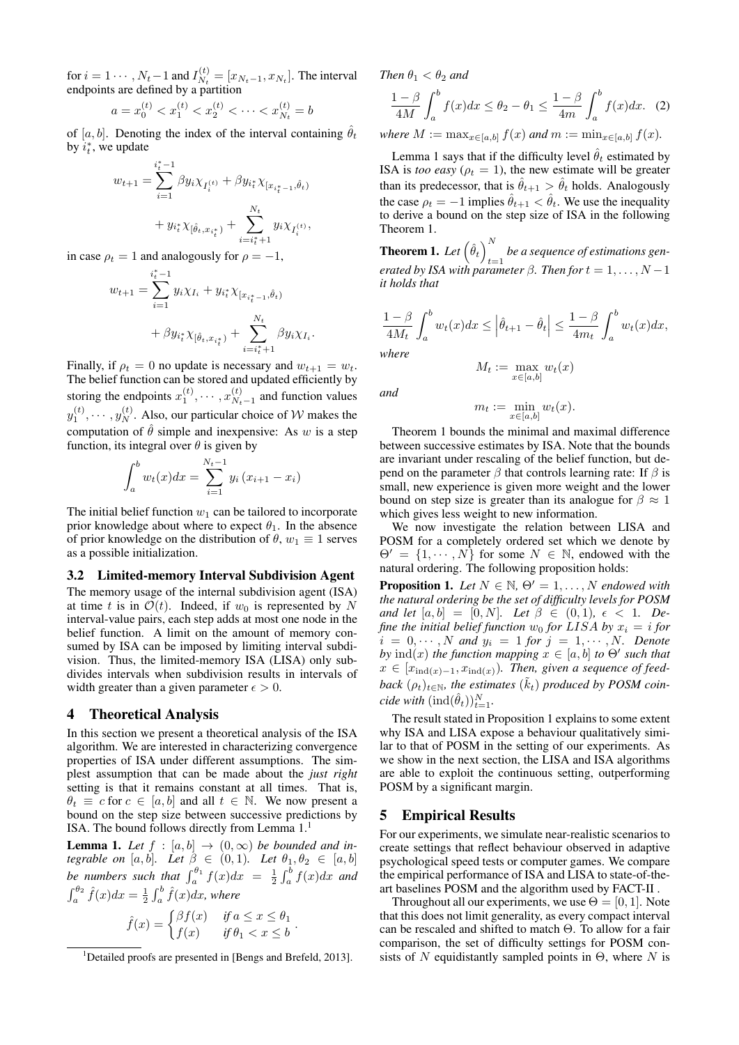for  $i = 1 \cdots, N_t-1$  and  $I_{N_t}^{(t)}$  $N_t = [x_{N_t-1}, x_{N_t}]$ . The interval endpoints are defined by a partition

$$
a = x_0^{(t)} < x_1^{(t)} < x_2^{(t)} < \dots < x_{N_t}^{(t)} = b
$$

of [a, b]. Denoting the index of the interval containing  $\hat{\theta}_t$ by  $i_t^*$ , we update

$$
\begin{aligned} w_{t+1} = \sum_{i=1}^{i_t^* - 1} \beta y_i \chi_{I_i^{(t)}} + \beta y_{i_t^*} \chi_{[x_{i_t^* - 1}, \hat{\theta}_t)} \\ + y_{i_t^*} \chi_{[\hat{\theta}_t, x_{i_t^*})} + \sum_{i = i_t^* + 1}^{N_t} y_i \chi_{I_i^{(t)}}, \end{aligned}
$$

in case  $\rho_t = 1$  and analogously for  $\rho = -1$ ,

$$
w_{t+1} = \sum_{i=1}^{i_t^* - 1} y_i \chi_{I_i} + y_{i_t^*} \chi_{[x_{i_t^* - 1}, \hat{\theta}_t)}
$$
  
+  $\beta y_{i_t^*} \chi_{[\hat{\theta}_t, x_{i_t^*})} + \sum_{i=i_t^* + 1}^{N_t} \beta y_i \chi_{I_i}.$ 

Finally, if  $\rho_t = 0$  no update is necessary and  $w_{t+1} = w_t$ . The belief function can be stored and updated efficiently by storing the endpoints  $x_1^{(t)}, \dots, x_{N_t}^{(t)}$  $\frac{N_t}{N_t-1}$  and function values  $y_1^{(t)}, \dots, y_N^{(t)}$ . Also, our particular choice of W makes the computation of  $\hat{\theta}$  simple and inexpensive: As w is a step function, its integral over  $\theta$  is given by

$$
\int_{a}^{b} w_{t}(x)dx = \sum_{i=1}^{N_{t}-1} y_{i} (x_{i+1} - x_{i})
$$

The initial belief function  $w_1$  can be tailored to incorporate prior knowledge about where to expect  $\theta_1$ . In the absence of prior knowledge on the distribution of  $\theta$ ,  $w_1 \equiv 1$  serves as a possible initialization.

## 3.2 Limited-memory Interval Subdivision Agent

The memory usage of the internal subdivision agent (ISA) at time t is in  $\mathcal{O}(t)$ . Indeed, if  $w_0$  is represented by N interval-value pairs, each step adds at most one node in the belief function. A limit on the amount of memory consumed by ISA can be imposed by limiting interval subdivision. Thus, the limited-memory ISA (LISA) only subdivides intervals when subdivision results in intervals of width greater than a given parameter  $\epsilon > 0$ .

## 4 Theoretical Analysis

In this section we present a theoretical analysis of the ISA algorithm. We are interested in characterizing convergence properties of ISA under different assumptions. The simplest assumption that can be made about the *just right* setting is that it remains constant at all times. That is,  $\theta_t \equiv c$  for  $c \in [a, b]$  and all  $t \in \mathbb{N}$ . We now present a bound on the step size between successive predictions by ISA. The bound follows directly from Lemma  $1<sup>1</sup>$ 

**Lemma 1.** Let  $f : [a, b] \rightarrow (0, \infty)$  be bounded and in*tegrable on* [a, b]. Let  $\beta \in (0,1)$ . Let  $\theta_1, \theta_2 \in [a, b]$ be numbers such that  $\int_a^{\theta_1} f(x)dx = \frac{1}{2} \int_a^b f(x)dx$  and  $\int_{a}^{\theta_2} \hat{f}(x)dx = \frac{1}{2} \int_{a}^{b} \hat{f}(x)dx$ , where

$$
\hat{f}(x) = \begin{cases} \beta f(x) & \text{if } a \le x \le \theta_1 \\ f(x) & \text{if } \theta_1 < x \le b \end{cases}.
$$

*Then*  $\theta_1 < \theta_2$  *and* 

$$
\frac{1-\beta}{4M} \int_a^b f(x)dx \le \theta_2 - \theta_1 \le \frac{1-\beta}{4m} \int_a^b f(x)dx. \tag{2}
$$

*where*  $M := \max_{x \in [a,b]} f(x)$  *and*  $m := \min_{x \in [a,b]} f(x)$ *.* 

Lemma 1 says that if the difficulty level  $\hat{\theta}_t$  estimated by ISA is *too easy* ( $\rho_t = 1$ ), the new estimate will be greater than its predecessor, that is  $\hat{\theta}_{t+1} > \hat{\theta}_t$  holds. Analogously the case  $\rho_t = -1$  implies  $\hat{\theta}_{t+1} < \hat{\theta}_t$ . We use the inequality to derive a bound on the step size of ISA in the following Theorem 1.

**Theorem 1.** Let  $(\hat{\theta}_t)^N$ t=1 *be a sequence of estimations generated by ISA with parameter*  $\beta$ *. Then for*  $t = 1, \ldots, N - 1$ *it holds that*

$$
\frac{1-\beta}{4M_t} \int_a^b w_t(x) dx \le \left| \hat{\theta}_{t+1} - \hat{\theta}_t \right| \le \frac{1-\beta}{4m_t} \int_a^b w_t(x) dx,
$$
where

*where*

*and*

$$
f_{\rm{max}}
$$

$$
m_t := \min_{x \in [a,b]} w_t(x).
$$

 $M_t := \max_{x \in [a,b]} w_t(x)$ 

Theorem 1 bounds the minimal and maximal difference between successive estimates by ISA. Note that the bounds are invariant under rescaling of the belief function, but depend on the parameter  $\beta$  that controls learning rate: If  $\beta$  is small, new experience is given more weight and the lower bound on step size is greater than its analogue for  $\beta \approx 1$ which gives less weight to new information.

We now investigate the relation between LISA and POSM for a completely ordered set which we denote by  $\Theta' = \{1, \dots, N\}$  for some  $N \in \mathbb{N}$ , endowed with the natural ordering. The following proposition holds:

**Proposition 1.** Let  $N \in \mathbb{N}$ ,  $\Theta' = 1, \ldots, N$  endowed with *the natural ordering be the set of difficulty levels for POSM and let*  $[a, b] = [0, N]$ *. Let*  $\beta \in (0, 1)$ *,*  $\epsilon < 1$ *. Define the initial belief function*  $w_0$  *for* LISA *by*  $x_i = i$  *for*  $i = 0, \cdots, N$  and  $y_i = 1$  for  $j = 1, \cdots, N$ . Denote *by*  $\text{ind}(x)$  *the function mapping*  $x \in [a, b]$  *to*  $\Theta'$  *such that*  $x \in [x_{\text{ind}(x)-1}, x_{\text{ind}(x)})$ . Then, given a sequence of feed $back(\rho_t)_{t \in \mathbb{N}}$ , the estimates  $(\tilde{k}_t)$  produced by POSM coin*cide with*  $(\text{ind}(\hat{\theta}_t))_{t=1}^N$ .

The result stated in Proposition 1 explains to some extent why ISA and LISA expose a behaviour qualitatively similar to that of POSM in the setting of our experiments. As we show in the next section, the LISA and ISA algorithms are able to exploit the continuous setting, outperforming POSM by a significant margin.

## 5 Empirical Results

For our experiments, we simulate near-realistic scenarios to create settings that reflect behaviour observed in adaptive psychological speed tests or computer games. We compare the empirical performance of ISA and LISA to state-of-theart baselines POSM and the algorithm used by FACT-II .

Throughout all our experiments, we use  $\Theta = [0, 1]$ . Note that this does not limit generality, as every compact interval can be rescaled and shifted to match Θ. To allow for a fair comparison, the set of difficulty settings for POSM consists of N equidistantly sampled points in  $\Theta$ , where N is

<sup>&</sup>lt;sup>1</sup>Detailed proofs are presented in [Bengs and Brefeld, 2013].